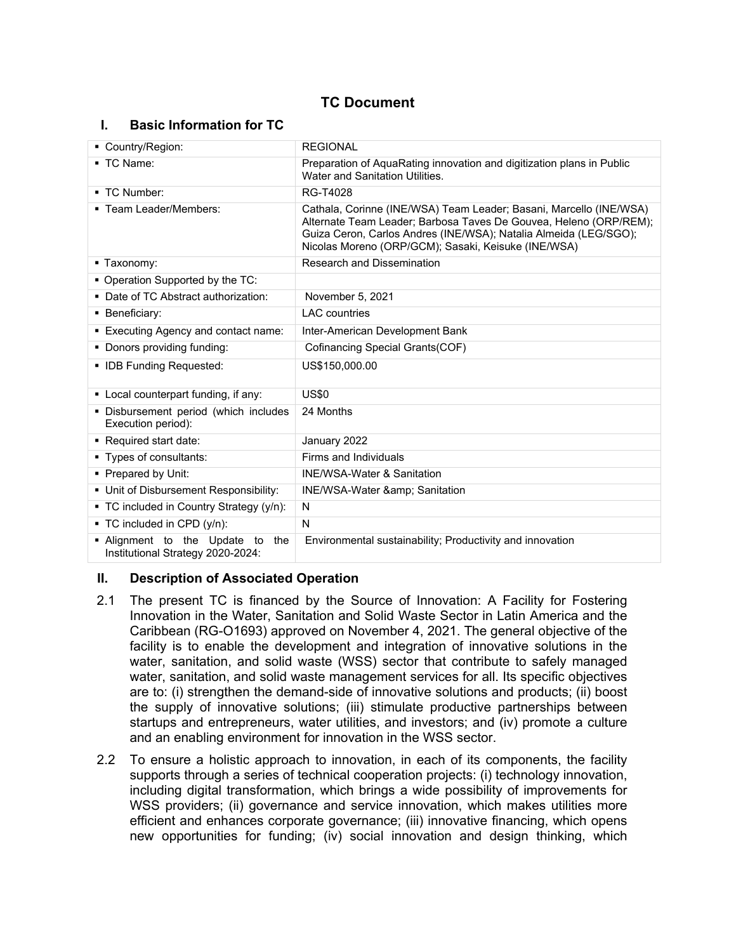# **TC Document**

### **I. Basic Information for TC**

| Country/Region:                                                       | <b>REGIONAL</b>                                                                                                                                                                                                                                                    |  |  |
|-----------------------------------------------------------------------|--------------------------------------------------------------------------------------------------------------------------------------------------------------------------------------------------------------------------------------------------------------------|--|--|
| ■ TC Name:                                                            | Preparation of AquaRating innovation and digitization plans in Public<br>Water and Sanitation Utilities.                                                                                                                                                           |  |  |
| ■ TC Number:                                                          | RG-T4028                                                                                                                                                                                                                                                           |  |  |
| ■ Team Leader/Members:                                                | Cathala, Corinne (INE/WSA) Team Leader; Basani, Marcello (INE/WSA)<br>Alternate Team Leader; Barbosa Taves De Gouvea, Heleno (ORP/REM);<br>Guiza Ceron, Carlos Andres (INE/WSA); Natalia Almeida (LEG/SGO);<br>Nicolas Moreno (ORP/GCM); Sasaki, Keisuke (INE/WSA) |  |  |
| ■ Taxonomy:                                                           | <b>Research and Dissemination</b>                                                                                                                                                                                                                                  |  |  |
| • Operation Supported by the TC:                                      |                                                                                                                                                                                                                                                                    |  |  |
| • Date of TC Abstract authorization:                                  | November 5, 2021                                                                                                                                                                                                                                                   |  |  |
| • Beneficiary:                                                        | <b>LAC</b> countries                                                                                                                                                                                                                                               |  |  |
| • Executing Agency and contact name:                                  | Inter-American Development Bank                                                                                                                                                                                                                                    |  |  |
| • Donors providing funding:                                           | Cofinancing Special Grants(COF)                                                                                                                                                                                                                                    |  |  |
| • IDB Funding Requested:                                              | US\$150,000.00                                                                                                                                                                                                                                                     |  |  |
| • Local counterpart funding, if any:                                  | <b>US\$0</b>                                                                                                                                                                                                                                                       |  |  |
| • Disbursement period (which includes<br>Execution period):           | 24 Months                                                                                                                                                                                                                                                          |  |  |
| Required start date:                                                  | January 2022                                                                                                                                                                                                                                                       |  |  |
| ■ Types of consultants:                                               | Firms and Individuals                                                                                                                                                                                                                                              |  |  |
| • Prepared by Unit:                                                   | <b>INE/WSA-Water &amp; Sanitation</b>                                                                                                                                                                                                                              |  |  |
| • Unit of Disbursement Responsibility:                                | <b>INE/WSA-Water &amp; Sanitation</b>                                                                                                                                                                                                                              |  |  |
| • TC included in Country Strategy (y/n):                              | N                                                                                                                                                                                                                                                                  |  |  |
| $\blacksquare$ TC included in CPD (y/n):                              | N                                                                                                                                                                                                                                                                  |  |  |
| . Alignment to the Update to the<br>Institutional Strategy 2020-2024: | Environmental sustainability; Productivity and innovation                                                                                                                                                                                                          |  |  |

#### **II. Description of Associated Operation**

- 2.1 The present TC is financed by the Source of Innovation: A Facility for Fostering Innovation in the Water, Sanitation and Solid Waste Sector in Latin America and the Caribbean (RG-O1693) approved on November 4, 2021. The general objective of the facility is to enable the development and integration of innovative solutions in the water, sanitation, and solid waste (WSS) sector that contribute to safely managed water, sanitation, and solid waste management services for all. Its specific objectives are to: (i) strengthen the demand-side of innovative solutions and products; (ii) boost the supply of innovative solutions; (iii) stimulate productive partnerships between startups and entrepreneurs, water utilities, and investors; and (iv) promote a culture and an enabling environment for innovation in the WSS sector.
- 2.2 To ensure a holistic approach to innovation, in each of its components, the facility supports through a series of technical cooperation projects: (i) technology innovation, including digital transformation, which brings a wide possibility of improvements for WSS providers; (ii) governance and service innovation, which makes utilities more efficient and enhances corporate governance; (iii) innovative financing, which opens new opportunities for funding; (iv) social innovation and design thinking, which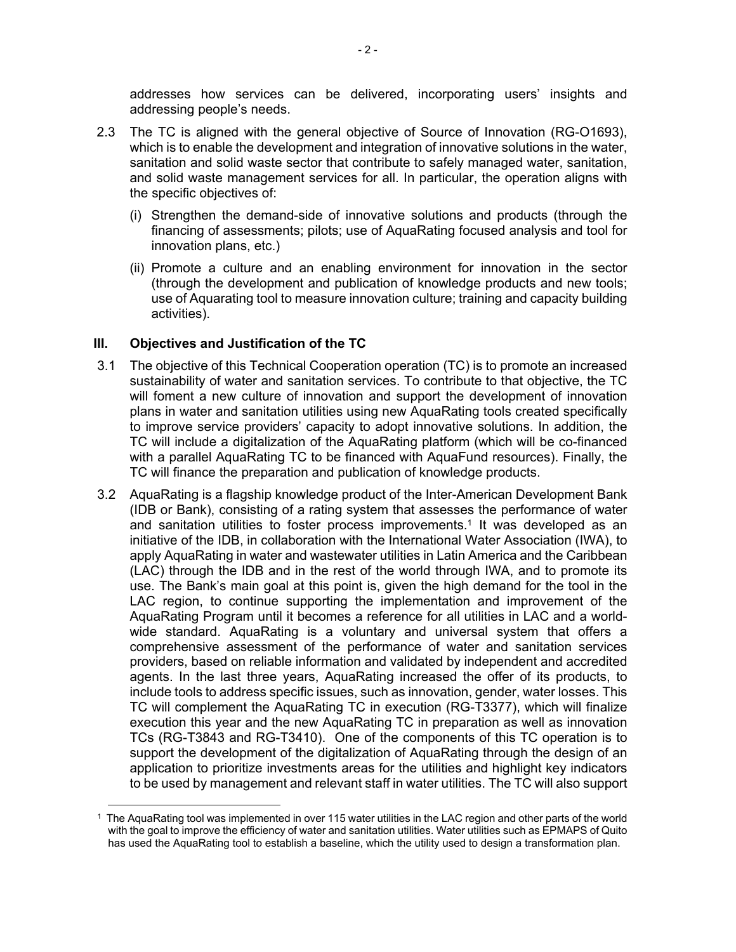addresses how services can be delivered, incorporating users' insights and addressing people's needs.

- 2.3 The TC is aligned with the general objective of Source of Innovation (RG-O1693), which is to enable the development and integration of innovative solutions in the water, sanitation and solid waste sector that contribute to safely managed water, sanitation, and solid waste management services for all. In particular, the operation aligns with the specific objectives of:
	- (i) Strengthen the demand-side of innovative solutions and products (through the financing of assessments; pilots; use of AquaRating focused analysis and tool for innovation plans, etc.)
	- (ii) Promote a culture and an enabling environment for innovation in the sector (through the development and publication of knowledge products and new tools; use of Aquarating tool to measure innovation culture; training and capacity building activities).

#### **III. Objectives and Justification of the TC**

- 3.1 The objective of this Technical Cooperation operation (TC) is to promote an increased sustainability of water and sanitation services. To contribute to that objective, the TC will foment a new culture of innovation and support the development of innovation plans in water and sanitation utilities using new AquaRating tools created specifically to improve service providers' capacity to adopt innovative solutions. In addition, the TC will include a digitalization of the AquaRating platform (which will be co-financed with a parallel AquaRating TC to be financed with AquaFund resources). Finally, the TC will finance the preparation and publication of knowledge products.
- 3.2 AquaRating is a flagship knowledge product of the Inter-American Development Bank (IDB or Bank), consisting of a rating system that assesses the performance of water and sanitation utilities to foster process improvements.<sup>1</sup> It was developed as an initiative of the IDB, in collaboration with the International Water Association (IWA), to apply AquaRating in water and wastewater utilities in Latin America and the Caribbean (LAC) through the IDB and in the rest of the world through IWA, and to promote its use. The Bank's main goal at this point is, given the high demand for the tool in the LAC region, to continue supporting the implementation and improvement of the AquaRating Program until it becomes a reference for all utilities in LAC and a worldwide standard. AquaRating is a voluntary and universal system that offers a comprehensive assessment of the performance of water and sanitation services providers, based on reliable information and validated by independent and accredited agents. In the last three years, AquaRating increased the offer of its products, to include tools to address specific issues, such as innovation, gender, water losses. This TC will complement the AquaRating TC in execution (RG-T3377), which will finalize execution this year and the new AquaRating TC in preparation as well as innovation TCs (RG-T3843 and RG-T3410). One of the components of this TC operation is to support the development of the digitalization of AquaRating through the design of an application to prioritize investments areas for the utilities and highlight key indicators to be used by management and relevant staff in water utilities. The TC will also support

<sup>1</sup> The AquaRating tool was implemented in over 115 water utilities in the LAC region and other parts of the world with the goal to improve the efficiency of water and sanitation utilities. Water utilities such as EPMAPS of Quito has used the AquaRating tool to establish a baseline, which the utility used to design a transformation plan.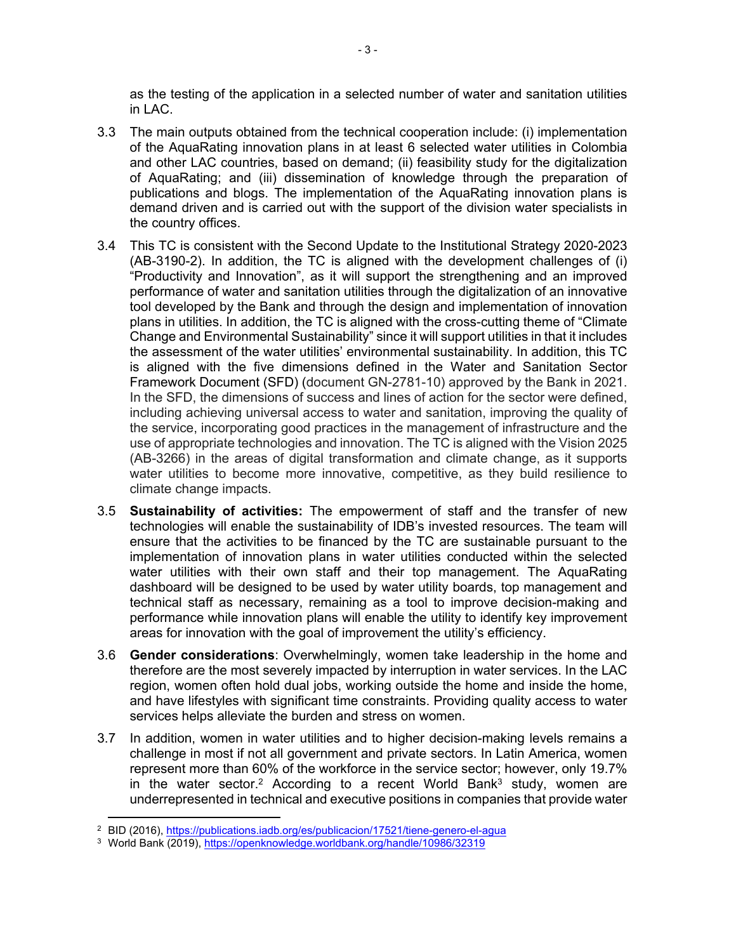as the testing of the application in a selected number of water and sanitation utilities in LAC.

- 3.3 The main outputs obtained from the technical cooperation include: (i) implementation of the AquaRating innovation plans in at least 6 selected water utilities in Colombia and other LAC countries, based on demand; (ii) feasibility study for the digitalization of AquaRating; and (iii) dissemination of knowledge through the preparation of publications and blogs. The implementation of the AquaRating innovation plans is demand driven and is carried out with the support of the division water specialists in the country offices.
- 3.4 This TC is consistent with the Second Update to the Institutional Strategy 2020-2023 (AB-3190-2). In addition, the TC is aligned with the development challenges of (i) "Productivity and Innovation", as it will support the strengthening and an improved performance of water and sanitation utilities through the digitalization of an innovative tool developed by the Bank and through the design and implementation of innovation plans in utilities. In addition, the TC is aligned with the cross-cutting theme of "Climate Change and Environmental Sustainability" since it will support utilities in that it includes the assessment of the water utilities' environmental sustainability. In addition, this TC is aligned with the five dimensions defined in the Water and Sanitation Sector Framework Document (SFD) (document GN-2781-10) approved by the Bank in 2021. In the SFD, the dimensions of success and lines of action for the sector were defined, including achieving universal access to water and sanitation, improving the quality of the service, incorporating good practices in the management of infrastructure and the use of appropriate technologies and innovation. The TC is aligned with the Vision 2025 (AB-3266) in the areas of digital transformation and climate change, as it supports water utilities to become more innovative, competitive, as they build resilience to climate change impacts.
- 3.5 **Sustainability of activities:** The empowerment of staff and the transfer of new technologies will enable the sustainability of IDB's invested resources. The team will ensure that the activities to be financed by the TC are sustainable pursuant to the implementation of innovation plans in water utilities conducted within the selected water utilities with their own staff and their top management. The AquaRating dashboard will be designed to be used by water utility boards, top management and technical staff as necessary, remaining as a tool to improve decision-making and performance while innovation plans will enable the utility to identify key improvement areas for innovation with the goal of improvement the utility's efficiency.
- 3.6 **Gender considerations**: Overwhelmingly, women take leadership in the home and therefore are the most severely impacted by interruption in water services. In the LAC region, women often hold dual jobs, working outside the home and inside the home, and have lifestyles with significant time constraints. Providing quality access to water services helps alleviate the burden and stress on women.
- 3.7 In addition, women in water utilities and to higher decision-making levels remains a challenge in most if not all government and private sectors. In Latin America, women represent more than 60% of the workforce in the service sector; however, only 19.7% in the water sector.<sup>2</sup> According to a recent World Bank<sup>3</sup> study, women are underrepresented in technical and executive positions in companies that provide water

<sup>&</sup>lt;sup>2</sup> BID (2016), <u><https://publications.iadb.org/es/publicacion/17521/tiene-genero-el-agua></u>

<sup>&</sup>lt;sup>3</sup> World Bank (2019),<https://openknowledge.worldbank.org/handle/10986/32319>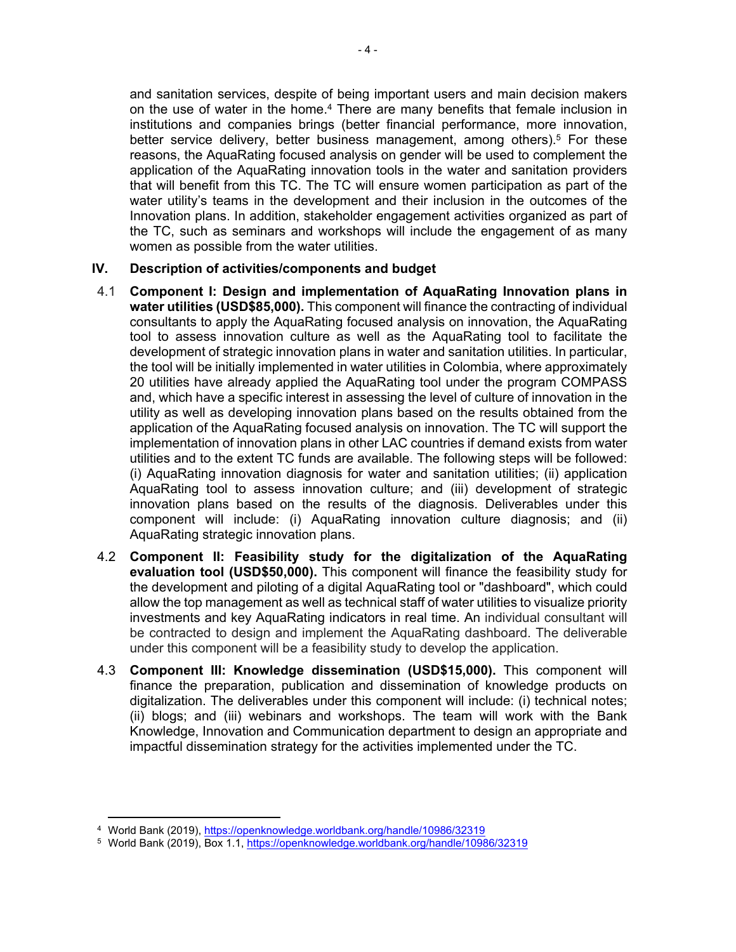and sanitation services, despite of being important users and main decision makers on the use of water in the home.<sup>4</sup> There are many benefits that female inclusion in institutions and companies brings (better financial performance, more innovation, better service delivery, better business management, among others).<sup>5</sup> For these reasons, the AquaRating focused analysis on gender will be used to complement the application of the AquaRating innovation tools in the water and sanitation providers that will benefit from this TC. The TC will ensure women participation as part of the water utility's teams in the development and their inclusion in the outcomes of the Innovation plans. In addition, stakeholder engagement activities organized as part of the TC, such as seminars and workshops will include the engagement of as many women as possible from the water utilities.

### **IV. Description of activities/components and budget**

- 4.1 **Component I: Design and implementation of AquaRating Innovation plans in water utilities (USD\$85,000).** This component will finance the contracting of individual consultants to apply the AquaRating focused analysis on innovation, the AquaRating tool to assess innovation culture as well as the AquaRating tool to facilitate the development of strategic innovation plans in water and sanitation utilities. In particular, the tool will be initially implemented in water utilities in Colombia, where approximately 20 utilities have already applied the AquaRating tool under the program COMPASS and, which have a specific interest in assessing the level of culture of innovation in the utility as well as developing innovation plans based on the results obtained from the application of the AquaRating focused analysis on innovation. The TC will support the implementation of innovation plans in other LAC countries if demand exists from water utilities and to the extent TC funds are available. The following steps will be followed: (i) AquaRating innovation diagnosis for water and sanitation utilities; (ii) application AquaRating tool to assess innovation culture; and (iii) development of strategic innovation plans based on the results of the diagnosis. Deliverables under this component will include: (i) AquaRating innovation culture diagnosis; and (ii) AquaRating strategic innovation plans.
- 4.2 **Component II: Feasibility study for the digitalization of the AquaRating evaluation tool (USD\$50,000).** This component will finance the feasibility study for the development and piloting of a digital AquaRating tool or "dashboard", which could allow the top management as well as technical staff of water utilities to visualize priority investments and key AquaRating indicators in real time. An individual consultant will be contracted to design and implement the AquaRating dashboard. The deliverable under this component will be a feasibility study to develop the application.
- 4.3 **Component III: Knowledge dissemination (USD\$15,000).** This component will finance the preparation, publication and dissemination of knowledge products on digitalization. The deliverables under this component will include: (i) technical notes; (ii) blogs; and (iii) webinars and workshops. The team will work with the Bank Knowledge, Innovation and Communication department to design an appropriate and impactful dissemination strategy for the activities implemented under the TC.

<sup>&</sup>lt;sup>4</sup> World Bank (2019), <u>https://openknowledge.worldbank.org/handle/10986/32319</u>

<sup>&</sup>lt;sup>5</sup> World Bank (2019), Box 1.1, <u><https://openknowledge.worldbank.org/handle/10986/32319></u>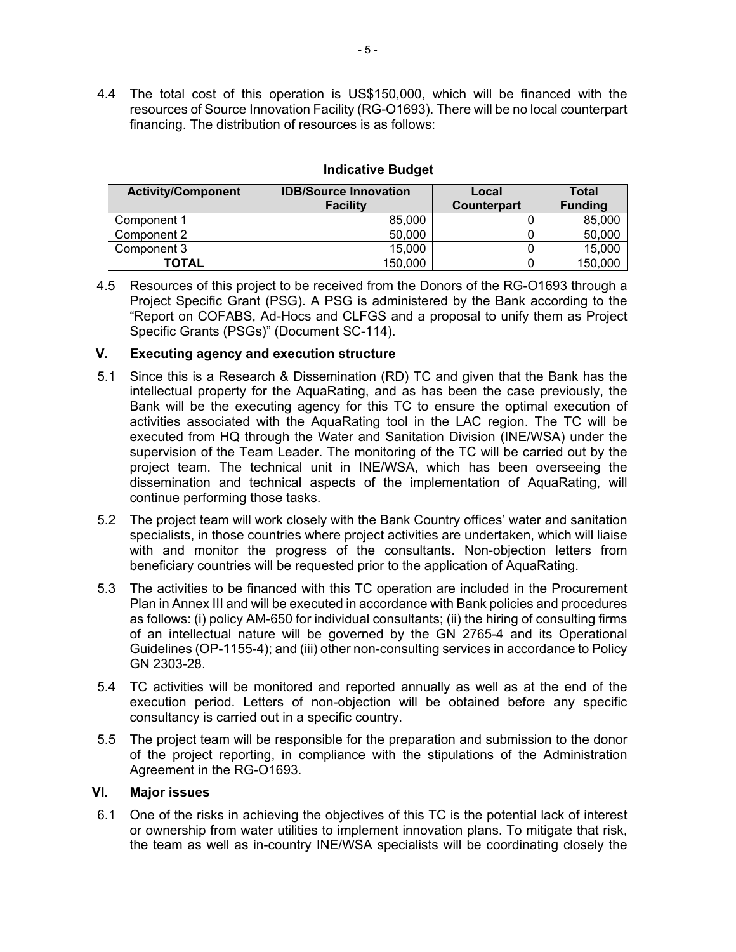4.4 The total cost of this operation is US\$150,000, which will be financed with the resources of Source Innovation Facility (RG-O1693). There will be no local counterpart financing. The distribution of resources is as follows:

| <b>Activity/Component</b> | <b>IDB/Source Innovation</b> | Local       | <b>Total</b>   |
|---------------------------|------------------------------|-------------|----------------|
|                           | <b>Facility</b>              | Counterpart | <b>Funding</b> |
| Component 1               | 85,000                       |             | 85,000         |
| Component 2               | 50,000                       |             | 50,000         |
| Component 3               | 15,000                       |             | 15,000         |
| <b>TOTAL</b>              | 150.000                      |             | 150,000        |

# **Indicative Budget**

4.5 Resources of this project to be received from the Donors of the RG-O1693 through a Project Specific Grant (PSG). A PSG is administered by the Bank according to the "Report on COFABS, Ad-Hocs and CLFGS and a proposal to unify them as Project Specific Grants (PSGs)" (Document SC-114).

### **V. Executing agency and execution structure**

- 5.1 Since this is a Research & Dissemination (RD) TC and given that the Bank has the intellectual property for the AquaRating, and as has been the case previously, the Bank will be the executing agency for this TC to ensure the optimal execution of activities associated with the AquaRating tool in the LAC region. The TC will be executed from HQ through the Water and Sanitation Division (INE/WSA) under the supervision of the Team Leader. The monitoring of the TC will be carried out by the project team. The technical unit in INE/WSA, which has been overseeing the dissemination and technical aspects of the implementation of AquaRating, will continue performing those tasks.
- 5.2 The project team will work closely with the Bank Country offices' water and sanitation specialists, in those countries where project activities are undertaken, which will liaise with and monitor the progress of the consultants. Non-objection letters from beneficiary countries will be requested prior to the application of AquaRating.
- 5.3 The activities to be financed with this TC operation are included in the Procurement Plan in Annex III and will be executed in accordance with Bank policies and procedures as follows: (i) policy AM-650 for individual consultants; (ii) the hiring of consulting firms of an intellectual nature will be governed by the GN 2765-4 and its Operational Guidelines (OP-1155-4); and (iii) other non-consulting services in accordance to Policy GN 2303-28.
- 5.4 TC activities will be monitored and reported annually as well as at the end of the execution period. Letters of non-objection will be obtained before any specific consultancy is carried out in a specific country.
- 5.5 The project team will be responsible for the preparation and submission to the donor of the project reporting, in compliance with the stipulations of the Administration Agreement in the RG-O1693.

#### **VI. Major issues**

6.1 One of the risks in achieving the objectives of this TC is the potential lack of interest or ownership from water utilities to implement innovation plans. To mitigate that risk, the team as well as in-country INE/WSA specialists will be coordinating closely the